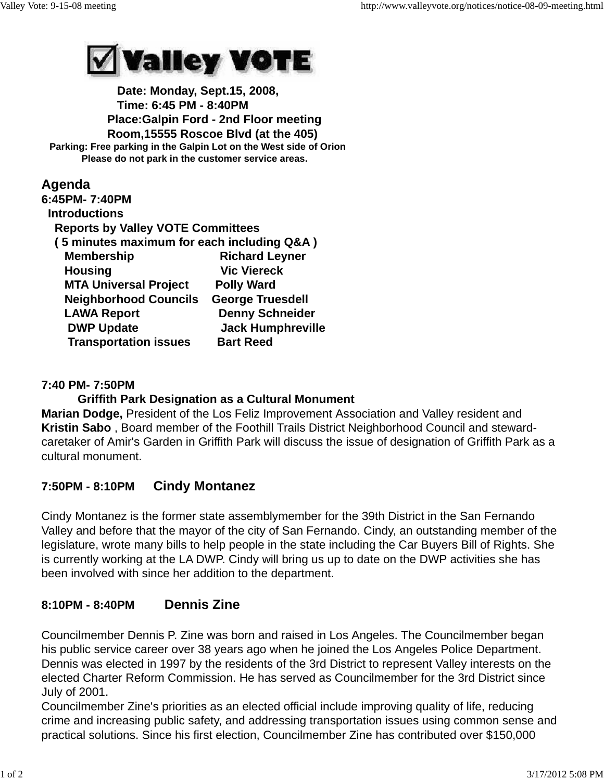

 **Date: Monday, Sept.15, 2008, Time: 6:45 PM - 8:40PM Place:Galpin Ford - 2nd Floor meeting Room,15555 Roscoe Blvd (at the 405) Parking: Free parking in the Galpin Lot on the West side of Orion Please do not park in the customer service areas.**

## **Agenda**

| 6:45PM-7:40PM                              |                          |
|--------------------------------------------|--------------------------|
| <b>Introductions</b>                       |                          |
| <b>Reports by Valley VOTE Committees</b>   |                          |
| (5 minutes maximum for each including Q&A) |                          |
| <b>Membership</b>                          | <b>Richard Leyner</b>    |
| <b>Housing</b>                             | <b>Vic Viereck</b>       |
| <b>MTA Universal Project</b>               | <b>Polly Ward</b>        |
| <b>Neighborhood Councils</b>               | <b>George Truesdell</b>  |
| <b>LAWA Report</b>                         | <b>Denny Schneider</b>   |
| <b>DWP Update</b>                          | <b>Jack Humphreville</b> |
| <b>Transportation issues</b>               | <b>Bart Reed</b>         |

## **7:40 PM- 7:50PM**

### **Griffith Park Designation as a Cultural Monument**

**Marian Dodge,** President of the Los Feliz Improvement Association and Valley resident and **Kristin Sabo** , Board member of the Foothill Trails District Neighborhood Council and stewardcaretaker of Amir's Garden in Griffith Park will discuss the issue of designation of Griffith Park as a cultural monument.

# **7:50PM - 8:10PM Cindy Montanez**

Cindy Montanez is the former state assemblymember for the 39th District in the San Fernando Valley and before that the mayor of the city of San Fernando. Cindy, an outstanding member of the legislature, wrote many bills to help people in the state including the Car Buyers Bill of Rights. She is currently working at the LA DWP. Cindy will bring us up to date on the DWP activities she has been involved with since her addition to the department.

# **8:10PM - 8:40PM Dennis Zine**

Councilmember Dennis P. Zine was born and raised in Los Angeles. The Councilmember began his public service career over 38 years ago when he joined the Los Angeles Police Department. Dennis was elected in 1997 by the residents of the 3rd District to represent Valley interests on the elected Charter Reform Commission. He has served as Councilmember for the 3rd District since July of 2001.

Councilmember Zine's priorities as an elected official include improving quality of life, reducing crime and increasing public safety, and addressing transportation issues using common sense and practical solutions. Since his first election, Councilmember Zine has contributed over \$150,000